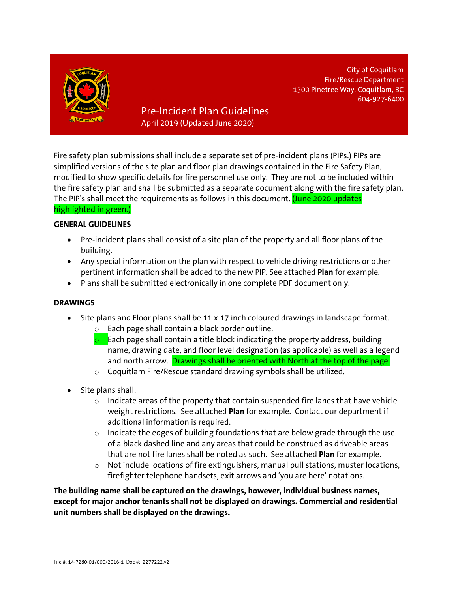

Pre-Incident Plan Guidelines April 2019 (Updated June 2020)

Fire safety plan submissions shall include a separate set of pre-incident plans (PIPs.) PIPs are simplified versions of the site plan and floor plan drawings contained in the Fire Safety Plan, modified to show specific details for fire personnel use only. They are not to be included within the fire safety plan and shall be submitted as a separate document along with the fire safety plan. The PIP's shall meet the requirements as follows in this document. (June 2020 updates highlighted in green.)

City of Coquitlam Fire/Rescue Department

604-927-6400

1300 Pinetree Way, Coquitlam, BC

## **GENERAL GUIDELINES**

- Pre-incident plans shall consist of a site plan of the property and all floor plans of the building.
- Any special information on the plan with respect to vehicle driving restrictions or other pertinent information shall be added to the new PIP. See attached **Plan** for example.
- Plans shall be submitted electronically in one complete PDF document only.

## **DRAWINGS**

- Site plans and Floor plans shall be 11 x 17 inch coloured drawings in landscape format.
	- o Each page shall contain a black border outline.
	- **o** Each page shall contain a title block indicating the property address, building name, drawing date, and floor level designation (as applicable) as well as a legend and north arrow. Drawings shall be oriented with North at the top of the page.
	- o Coquitlam Fire/Rescue standard drawing symbols shall be utilized.
- Site plans shall:
	- $\circ$  Indicate areas of the property that contain suspended fire lanes that have vehicle weight restrictions. See attached **Plan** for example. Contact our department if additional information is required.
	- $\circ$  Indicate the edges of building foundations that are below grade through the use of a black dashed line and any areas that could be construed as driveable areas that are not fire lanes shall be noted as such. See attached **Plan** for example.
	- o Not include locations of fire extinguishers, manual pull stations, muster locations, firefighter telephone handsets, exit arrows and 'you are here' notations.

**The building name shall be captured on the drawings, however, individual business names, except for major anchor tenants shall not be displayed on drawings. Commercial and residential unit numbers shall be displayed on the drawings.**